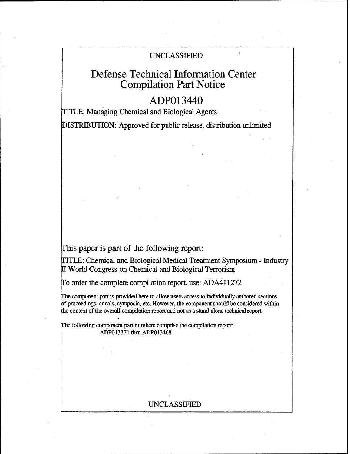## UNCLASSIFIED

# Defense Technical Information Center Compilation Part Notice

## ADP013440

TITLE: Managing Chemical and Biological Agents

DISTRIBUTION: Approved for public release, distribution unlimited

This paper is part of the following report:

T1TLE: Chemical and Biological Medical Treatment Symposium - Industry [I World Congress on Chemical and Biological Terrorism

To order the complete compilation report, use: ADA411272

The component part is provided here to allow users access to individually authored sections of proceedings, annals, symposia, etc. However, the component should be considered within the context of the overall compilation report and not as a stand-alone technical report.

The following component part numbers comprise the compilation report: ADP013371 thru ADP013468

## UNCLASSIFIED